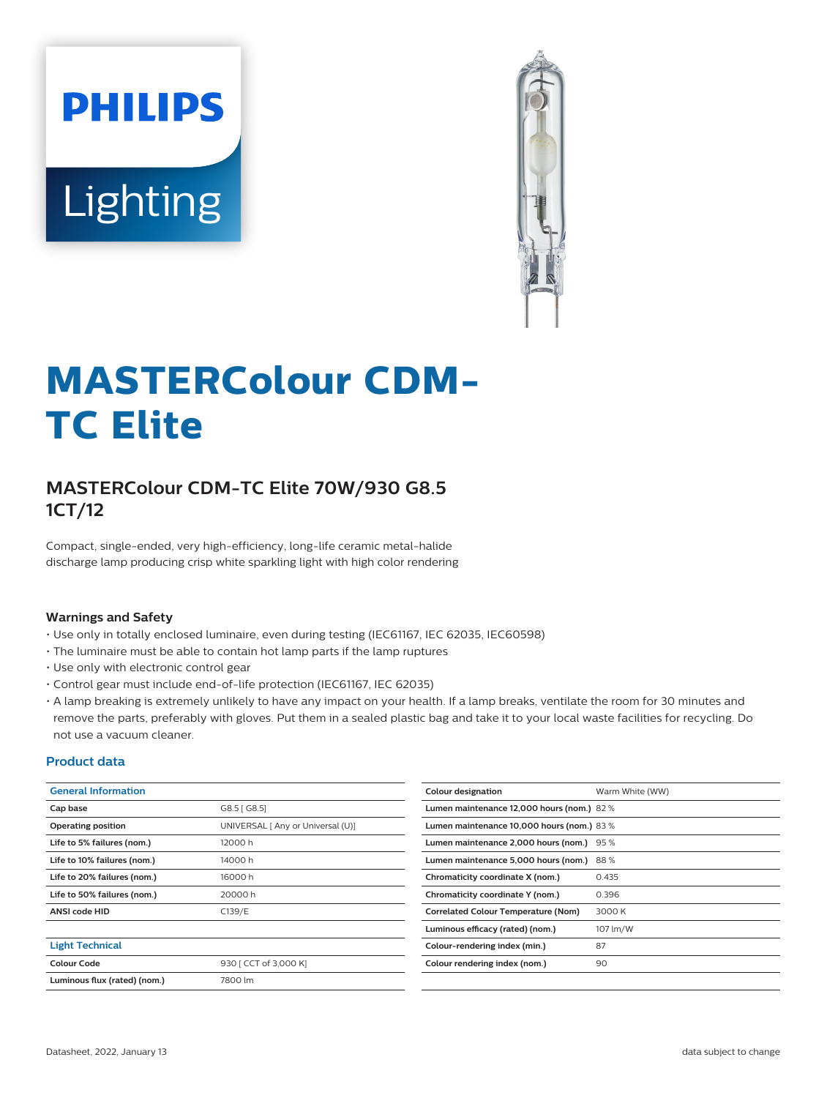# **PHILIPS** Lighting



# **MASTERColour CDM-TC Elite**

# **MASTERColour CDM-TC Elite 70W/930 G8.5 1CT/12**

Compact, single-ended, very high-efficiency, long-life ceramic metal-halide discharge lamp producing crisp white sparkling light with high color rendering

#### **Warnings and Safety**

- Use only in totally enclosed luminaire, even during testing (IEC61167, IEC 62035, IEC60598)
- The luminaire must be able to contain hot lamp parts if the lamp ruptures
- Use only with electronic control gear
- Control gear must include end-of-life protection (IEC61167, IEC 62035)
- A lamp breaking is extremely unlikely to have any impact on your health. If a lamp breaks, ventilate the room for 30 minutes and remove the parts, preferably with gloves. Put them in a sealed plastic bag and take it to your local waste facilities for recycling. Do not use a vacuum cleaner.

#### **Product data**

| <b>General Information</b>   |                                   | Colour designation                         | Warm White (WW) |  |  |
|------------------------------|-----------------------------------|--------------------------------------------|-----------------|--|--|
| Cap base                     | G8.5 [ G8.5]                      | Lumen maintenance 12,000 hours (nom.) 82 % |                 |  |  |
| Operating position           | UNIVERSAL [ Any or Universal (U)] | Lumen maintenance 10,000 hours (nom.) 83 % |                 |  |  |
| Life to 5% failures (nom.)   | 12000 h                           | Lumen maintenance 2,000 hours (nom.) 95 %  |                 |  |  |
| Life to 10% failures (nom.)  | 14000h                            | Lumen maintenance 5,000 hours (nom.)       | 88%             |  |  |
| Life to 20% failures (nom.)  | 16000h                            | Chromaticity coordinate X (nom.)           | 0.435           |  |  |
| Life to 50% failures (nom.)  | 20000 h                           | Chromaticity coordinate Y (nom.)           | 0.396           |  |  |
| <b>ANSI code HID</b>         | C139/E                            | <b>Correlated Colour Temperature (Nom)</b> | 3000 K          |  |  |
|                              |                                   | Luminous efficacy (rated) (nom.)           | 107 lm/W        |  |  |
| <b>Light Technical</b>       |                                   | Colour-rendering index (min.)              | 87              |  |  |
| <b>Colour Code</b>           | 930 [ CCT of 3,000 K]             | Colour rendering index (nom.)              | 90              |  |  |
| Luminous flux (rated) (nom.) | 7800 lm                           |                                            |                 |  |  |
|                              |                                   |                                            |                 |  |  |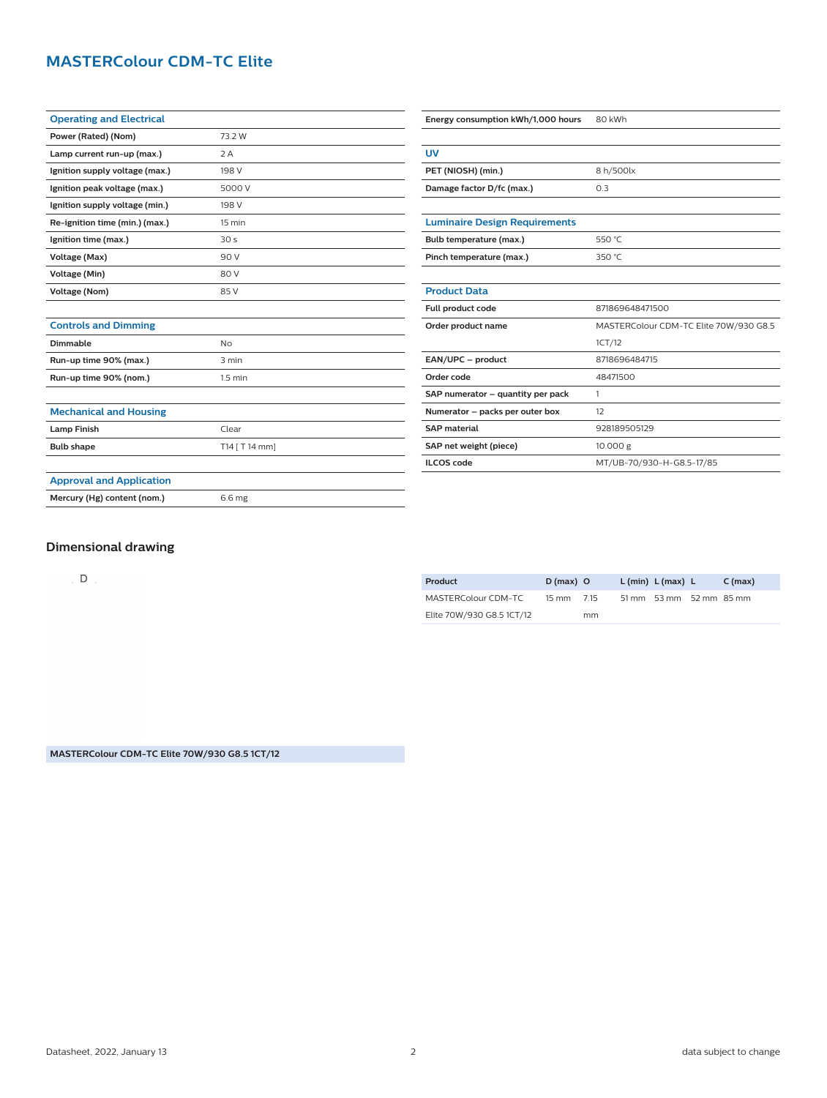# **MASTERColour CDM-TC Elite**

| <b>Operating and Electrical</b> |                 |  |  |
|---------------------------------|-----------------|--|--|
| Power (Rated) (Nom)             | 73.2 W          |  |  |
| Lamp current run-up (max.)      | 2A              |  |  |
| Ignition supply voltage (max.)  | 198 V           |  |  |
| Ignition peak voltage (max.)    | 5000 V          |  |  |
| Ignition supply voltage (min.)  | 198 V           |  |  |
| Re-ignition time (min.) (max.)  | 15 min          |  |  |
| Ignition time (max.)            | 30 <sub>s</sub> |  |  |
| Voltage (Max)                   | 90 V            |  |  |
| <b>Voltage (Min)</b>            | 80 V            |  |  |
| <b>Voltage (Nom)</b>            | 85 V            |  |  |
|                                 |                 |  |  |
| <b>Controls and Dimming</b>     |                 |  |  |
| Dimmable                        | <b>No</b>       |  |  |
| Run-up time 90% (max.)          | 3 min           |  |  |
| Run-up time 90% (nom.)          | $1.5$ min       |  |  |
|                                 |                 |  |  |
| <b>Mechanical and Housing</b>   |                 |  |  |
| <b>Lamp Finish</b>              | Clear           |  |  |
| <b>Bulb shape</b>               | T14 [ T 14 mm]  |  |  |
|                                 |                 |  |  |
| <b>Approval and Application</b> |                 |  |  |
| Mercury (Hg) content (nom.)     | 6.6 mg          |  |  |

| Energy consumption kWh/1,000 hours   | 80 kWh                                 |  |  |  |
|--------------------------------------|----------------------------------------|--|--|--|
|                                      |                                        |  |  |  |
| UV                                   |                                        |  |  |  |
| PET (NIOSH) (min.)                   | 8 h/500lx                              |  |  |  |
| Damage factor D/fc (max.)            | 0.3                                    |  |  |  |
|                                      |                                        |  |  |  |
| <b>Luminaire Design Requirements</b> |                                        |  |  |  |
| Bulb temperature (max.)              | 550 °C                                 |  |  |  |
| Pinch temperature (max.)             | 350 °C                                 |  |  |  |
|                                      |                                        |  |  |  |
| <b>Product Data</b>                  |                                        |  |  |  |
| Full product code                    | 871869648471500                        |  |  |  |
| Order product name                   | MASTERColour CDM-TC Elite 70W/930 G8.5 |  |  |  |
|                                      | 1CT/12                                 |  |  |  |
| EAN/UPC - product                    | 8718696484715                          |  |  |  |
| Order code                           | 48471500                               |  |  |  |
| SAP numerator - quantity per pack    | 1                                      |  |  |  |
| Numerator - packs per outer box      | 12                                     |  |  |  |
| <b>SAP</b> material                  | 928189505129                           |  |  |  |
| SAP net weight (piece)               | 10.000 g                               |  |  |  |
| <b>ILCOS</b> code                    | MT/UB-70/930-H-G8.5-17/85              |  |  |  |

## **Dimensional drawing**

 $D$ 

| Product                   | $D(max)$ O           |    | $L$ (min) $L$ (max) $L$ | $C \, (max)$ |
|---------------------------|----------------------|----|-------------------------|--------------|
| MASTERColour CDM-TC       | $15 \text{ mm}$ 7.15 |    | 51 mm 53 mm 52 mm 85 mm |              |
| Elite 70W/930 G8.5 1CT/12 |                      | mm |                         |              |

**MASTERColour CDM-TC Elite 70W/930 G8.5 1CT/12**